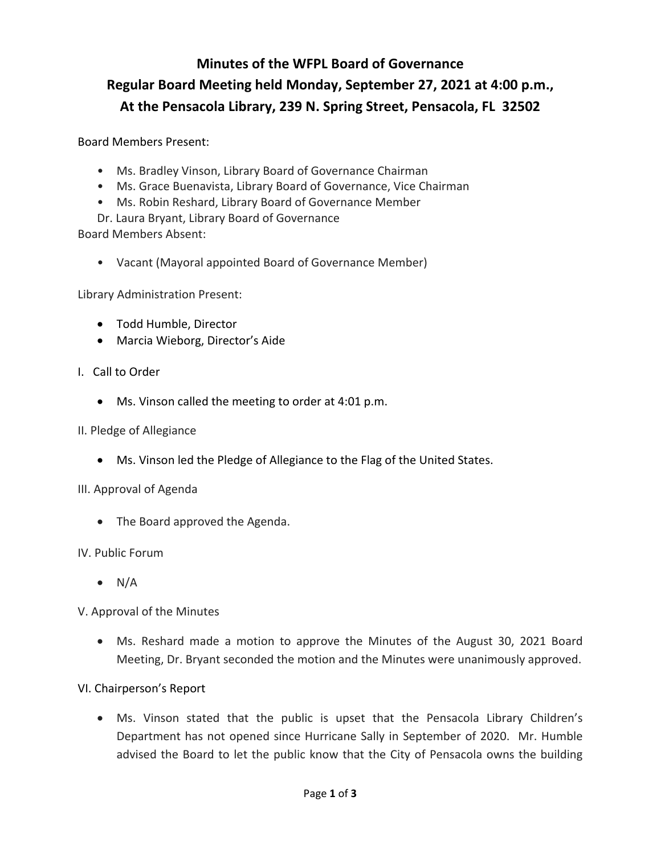# **Regular Board Meeting held Monday, September 27, 2021 at 4:00 p.m., At the Pensacola Library, 239 N. Spring Street, Pensacola, FL 32502 Minutes of the WFPL Board of Governance**

Board Members Present:

- Ms. Bradley Vinson, Library Board of Governance Chairman
- Ms. Grace Buenavista, Library Board of Governance, Vice Chairman
- Ms. Robin Reshard, Library Board of Governance Member
- Dr. Laura Bryant, Library Board of Governance

**Board Members Absent:** 

• Vacant (Mayoral appointed Board of Governance Member)

Library Administration Present:

- Todd Humble, Director
- Marcia Wieborg, Director's Aide I. Call to Order

#### I. Call to Order

- Ms. Vinson called the meeting to order at 4:01 p.m.
- II. Pledge of Allegiance
	- Ms. Vinson led the Pledge of Allegiance to the Flag of the United States.

#### III. Approval of Agenda

• The Board approved the Agenda. IV. Public Forum

 $\bullet$  N/A

V. Approval of the Minutes

• Ms. Reshard made a motion to approve the Minutes of the August 30, 2021 Board Meeting, Dr. Bryant seconded the motion and the Minutes were unanimously approved.

### VI. Chairperson's Report

• Ms. Vinson stated that the public is upset that the Pensacola Library Children's Department has not opened since Hurricane Sally in September of 2020. Mr. Humble advised the Board to let the public know that the City of Pensacola owns the building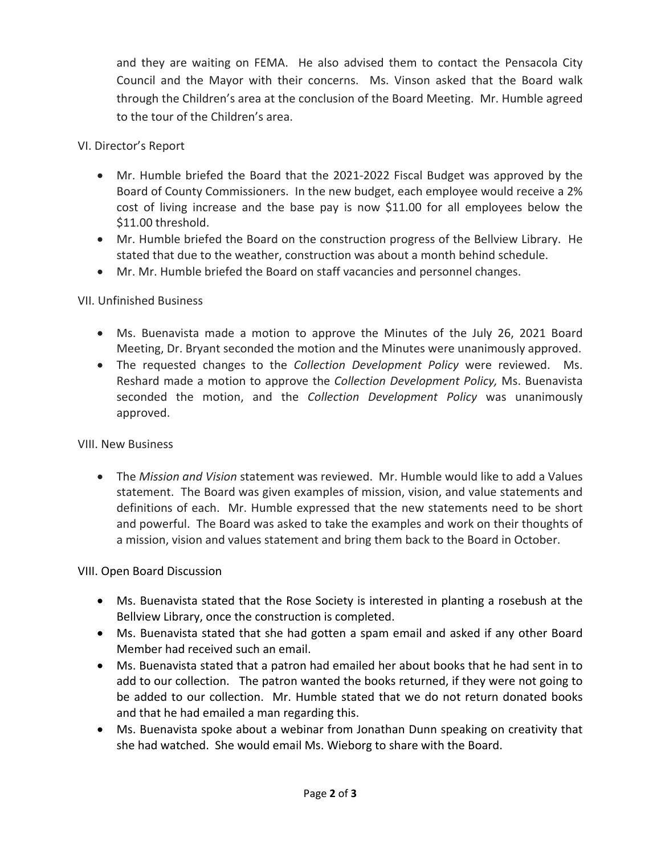and they are waiting on FEMA. He also advised them to contact the Pensacola City Council and the Mayor with their concerns. Ms. Vinson asked that the Board walk through the Children's area at the conclusion of the Board Meeting. Mr. Humble agreed to the tour of the Children's area.

# VI. Director's Report

- Mr. Humble briefed the Board that the 2021-2022 Fiscal Budget was approved by the Board of County Commissioners. In the new budget, each employee would receive a 2% cost of living increase and the base pay is now \$11.00 for all employees below the \$11.00 threshold.
- • Mr. Humble briefed the Board on the construction progress of the Bellview Library. He stated that due to the weather, construction was about a month behind schedule.
- Mr. Mr. Humble briefed the Board on staff vacancies and personnel changes.

# VII. Unfinished Business

- Ms. Buenavista made a motion to approve the Minutes of the July 26, 2021 Board Meeting, Dr. Bryant seconded the motion and the Minutes were unanimously approved.
- • The requested changes to the *Collection Development Policy* were reviewed. Ms. approved. Reshard made a motion to approve the *Collection Development Policy,* Ms. Buenavista seconded the motion, and the *Collection Development Policy* was unanimously

# VIII. New Business

 • The *Mission and Vision* statement was reviewed. Mr. Humble would like to add a Values definitions of each. Mr. Humble expressed that the new statements need to be short statement. The Board was given examples of mission, vision, and value statements and and powerful. The Board was asked to take the examples and work on their thoughts of a mission, vision and values statement and bring them back to the Board in October.

# VIII. Open Board Discussion

- Bellview Library, once the construction is completed. • Ms. Buenavista stated that the Rose Society is interested in planting a rosebush at the
- Ms. Buenavista stated that she had gotten a spam email and asked if any other Board Member had received such an email.
- and that he had emailed a man regarding this. • Ms. Buenavista stated that a patron had emailed her about books that he had sent in to add to our collection. The patron wanted the books returned, if they were not going to be added to our collection. Mr. Humble stated that we do not return donated books
- Ms. Buenavista spoke about a webinar from Jonathan Dunn speaking on creativity that she had watched. She would email Ms. Wieborg to share with the Board.